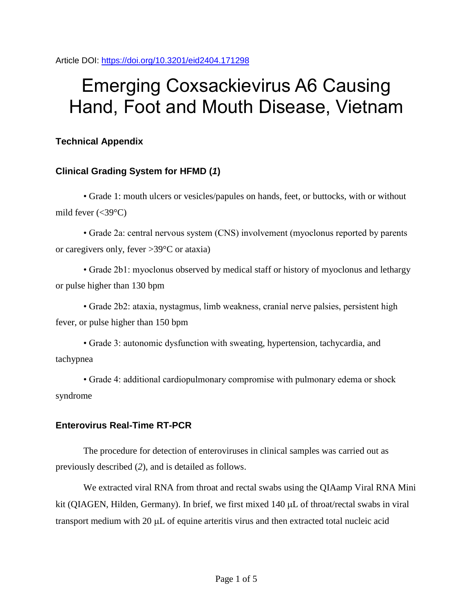Article DOI:<https://doi.org/10.3201/eid2404.171298>

# Emerging Coxsackievirus A6 Causing Hand, Foot and Mouth Disease, Vietnam

## **Technical Appendix**

## **Clinical Grading System for HFMD (***1***)**

• Grade 1: mouth ulcers or vesicles/papules on hands, feet, or buttocks, with or without mild fever  $\left(\text{&39}^{\circ}\text{C}\right)$ 

• Grade 2a: central nervous system (CNS) involvement (myoclonus reported by parents or caregivers only, fever >39°C or ataxia)

• Grade 2b1: myoclonus observed by medical staff or history of myoclonus and lethargy or pulse higher than 130 bpm

• Grade 2b2: ataxia, nystagmus, limb weakness, cranial nerve palsies, persistent high fever, or pulse higher than 150 bpm

• Grade 3: autonomic dysfunction with sweating, hypertension, tachycardia, and tachypnea

• Grade 4: additional cardiopulmonary compromise with pulmonary edema or shock syndrome

#### **Enterovirus Real-Time RT-PCR**

The procedure for detection of enteroviruses in clinical samples was carried out as previously described (*2*), and is detailed as follows.

We extracted viral RNA from throat and rectal swabs using the QIAamp Viral RNA Mini kit (QIAGEN, Hilden, Germany). In brief, we first mixed  $140 \mu L$  of throat/rectal swabs in viral transport medium with  $20 \mu L$  of equine arteritis virus and then extracted total nucleic acid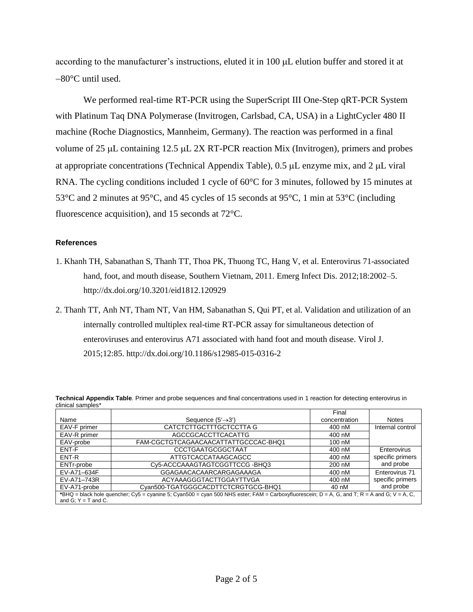according to the manufacturer's instructions, eluted it in  $100 \mu L$  elution buffer and stored it at 80°C until used.

We performed real-time RT-PCR using the SuperScript III One-Step qRT-PCR System with Platinum Taq DNA Polymerase (Invitrogen, Carlsbad, CA, USA) in a LightCycler 480 II machine (Roche Diagnostics, Mannheim, Germany). The reaction was performed in a final volume of  $25 \mu L$  containing  $12.5 \mu L$   $2X$  RT-PCR reaction Mix (Invitrogen), primers and probes at appropriate concentrations (Technical Appendix Table),  $0.5 \mu L$  enzyme mix, and  $2 \mu L$  viral RNA. The cycling conditions included 1 cycle of 60°C for 3 minutes, followed by 15 minutes at 53°C and 2 minutes at 95°C, and 45 cycles of 15 seconds at 95°C, 1 min at 53°C (including fluorescence acquisition), and 15 seconds at 72°C.

#### **References**

- 1. Khanh TH, Sabanathan S, Thanh TT, Thoa PK, Thuong TC, Hang V, et al. Enterovirus 71-associated hand, foot, and mouth disease, Southern Vietnam, 2011. Emerg Infect Dis. 2012;18:2002-5. <http://dx.doi.org/10.3201/eid1812.120929>
- 2. Thanh TT, Anh NT, Tham NT, Van HM, Sabanathan S, Qui PT, et al. Validation and utilization of an internally controlled multiplex real-time RT-PCR assay for simultaneous detection of enteroviruses and enterovirus A71 associated with hand foot and mouth disease. Virol J. 2015;12:85. <http://dx.doi.org/10.1186/s12985-015-0316-2>

|                                                                                                                                              |                                      | Final         |                  |
|----------------------------------------------------------------------------------------------------------------------------------------------|--------------------------------------|---------------|------------------|
| Name                                                                                                                                         | Sequence $(5' \rightarrow 3')$       | concentration | <b>Notes</b>     |
| EAV-F primer                                                                                                                                 | CATCTCTTGCTTTGCTCCTTA G              | 400 nM        | Internal control |
| EAV-R primer                                                                                                                                 | AGCCGCACCTTCACATTG                   | 400 nM        |                  |
| EAV-probe                                                                                                                                    | FAM-CGCTGTCAGAACAACATTATTGCCCAC-BHQ1 | 100 nM        |                  |
| ENT-F                                                                                                                                        | CCCTGAATGCGGCTAAT                    | 400 nM        | Enterovirus      |
| ENT-R                                                                                                                                        | ATTGTCACCATAAGCAGCC                  | 400 nM        | specific primers |
| ENTr-probe                                                                                                                                   | Cy5-ACCCAAAGTAGTCGGTTCCG-BHQ3        | 200 nM        | and probe        |
| EV-A71-634F                                                                                                                                  | <b>GGAGAACACAARCARGAGAAAGA</b>       | 400 nM        | Enterovirus 71   |
| EV-A71-743R                                                                                                                                  | ACYAAAGGGTACTTGGAYTTVGA              | 400 nM        | specific primers |
| EV-A71-probe                                                                                                                                 | Cvan500-TGATGGGCACDTTCTCRGTGCG-BHQ1  | 40 nM         | and probe        |
| *BHQ = black hole quencher; Cy5 = cyanine 5; Cyan500 = cyan 500 NHS ester; FAM = Carboxyfluorescein; D = A, G, and T; R = A and G; V = A, C, |                                      |               |                  |
| and $G: Y = T$ and $C$ .                                                                                                                     |                                      |               |                  |

**Technical Appendix Table**. Primer and probe sequences and final concentrations used in 1 reaction for detecting enterovirus in clinical samples\*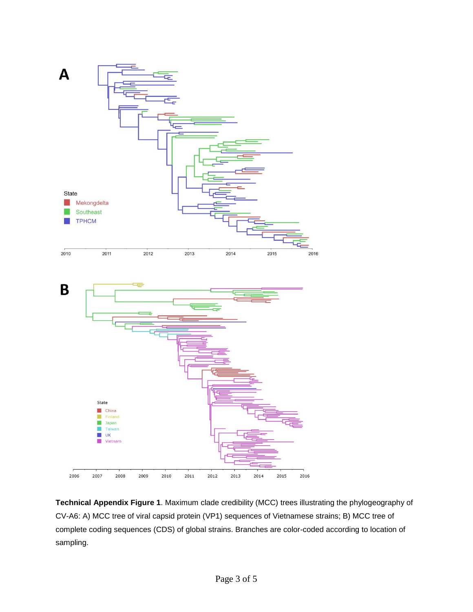

**Technical Appendix Figure 1**. Maximum clade credibility (MCC) trees illustrating the phylogeography of CV-A6: A) MCC tree of viral capsid protein (VP1) sequences of Vietnamese strains; B) MCC tree of complete coding sequences (CDS) of global strains. Branches are color-coded according to location of sampling.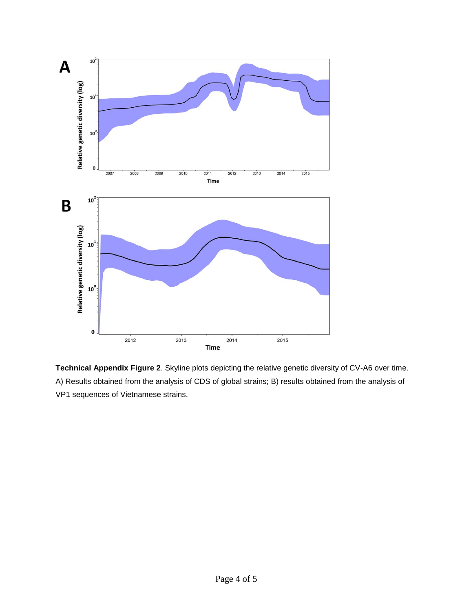

**Technical Appendix Figure 2**. Skyline plots depicting the relative genetic diversity of CV-A6 over time. A) Results obtained from the analysis of CDS of global strains; B) results obtained from the analysis of VP1 sequences of Vietnamese strains.